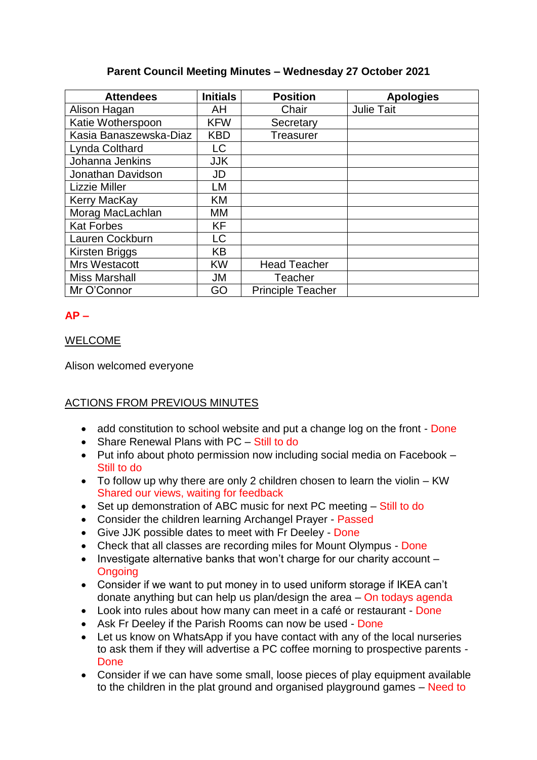## **Parent Council Meeting Minutes – Wednesday 27 October 2021**

| <b>Attendees</b>       | <b>Initials</b> | <b>Position</b>          | <b>Apologies</b>  |
|------------------------|-----------------|--------------------------|-------------------|
| Alison Hagan           | AH              | Chair                    | <b>Julie Tait</b> |
| Katie Wotherspoon      | <b>KFW</b>      | Secretary                |                   |
| Kasia Banaszewska-Diaz | <b>KBD</b>      | <b>Treasurer</b>         |                   |
| Lynda Colthard         | <b>LC</b>       |                          |                   |
| Johanna Jenkins        | <b>JJK</b>      |                          |                   |
| Jonathan Davidson      | JD              |                          |                   |
| <b>Lizzie Miller</b>   | LM              |                          |                   |
| Kerry MacKay           | KM              |                          |                   |
| Morag MacLachlan       | MМ              |                          |                   |
| <b>Kat Forbes</b>      | KF              |                          |                   |
| Lauren Cockburn        | LC              |                          |                   |
| <b>Kirsten Briggs</b>  | <b>KB</b>       |                          |                   |
| Mrs Westacott          | <b>KW</b>       | <b>Head Teacher</b>      |                   |
| <b>Miss Marshall</b>   | JM              | Teacher                  |                   |
| Mr O'Connor            | GO              | <b>Principle Teacher</b> |                   |

# **AP –**

## WELCOME

Alison welcomed everyone

# ACTIONS FROM PREVIOUS MINUTES

- add constitution to school website and put a change log on the front Done
- Share Renewal Plans with PC Still to do
- Put info about photo permission now including social media on Facebook Still to do
- To follow up why there are only 2 children chosen to learn the violin KW Shared our views, waiting for feedback
- Set up demonstration of ABC music for next PC meeting Still to do
- Consider the children learning Archangel Prayer Passed
- Give JJK possible dates to meet with Fr Deeley Done
- Check that all classes are recording miles for Mount Olympus Done
- Investigate alternative banks that won't charge for our charity account **Ongoing**
- Consider if we want to put money in to used uniform storage if IKEA can't donate anything but can help us plan/design the area – On todays agenda
- Look into rules about how many can meet in a café or restaurant Done
- Ask Fr Deeley if the Parish Rooms can now be used Done
- Let us know on WhatsApp if you have contact with any of the local nurseries to ask them if they will advertise a PC coffee morning to prospective parents - Done
- Consider if we can have some small, loose pieces of play equipment available to the children in the plat ground and organised playground games – Need to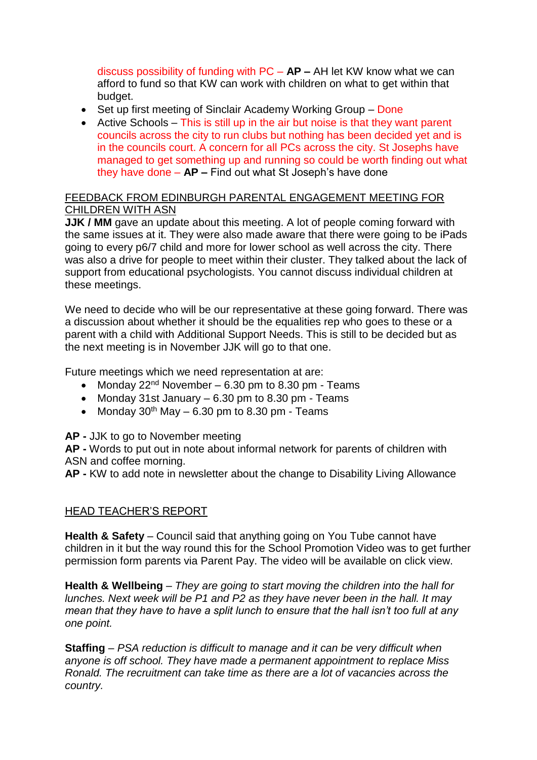discuss possibility of funding with PC – **AP –** AH let KW know what we can afford to fund so that KW can work with children on what to get within that budget.

- Set up first meeting of Sinclair Academy Working Group Done
- Active Schools This is still up in the air but noise is that they want parent councils across the city to run clubs but nothing has been decided yet and is in the councils court. A concern for all PCs across the city. St Josephs have managed to get something up and running so could be worth finding out what they have done – **AP –** Find out what St Joseph's have done

## FEEDBACK FROM EDINBURGH PARENTAL ENGAGEMENT MEETING FOR CHILDREN WITH ASN

**JJK / MM** gave an update about this meeting. A lot of people coming forward with the same issues at it. They were also made aware that there were going to be iPads going to every p6/7 child and more for lower school as well across the city. There was also a drive for people to meet within their cluster. They talked about the lack of support from educational psychologists. You cannot discuss individual children at these meetings.

We need to decide who will be our representative at these going forward. There was a discussion about whether it should be the equalities rep who goes to these or a parent with a child with Additional Support Needs. This is still to be decided but as the next meeting is in November JJK will go to that one.

Future meetings which we need representation at are:

- Monday  $22^{nd}$  November 6.30 pm to 8.30 pm Teams
- Monday 31st January  $-6.30$  pm to 8.30 pm Teams
- Monday  $30^{th}$  May  $-6.30$  pm to 8.30 pm Teams

**AP -** JJK to go to November meeting

**AP -** Words to put out in note about informal network for parents of children with ASN and coffee morning.

**AP -** KW to add note in newsletter about the change to Disability Living Allowance

#### HEAD TEACHER'S REPORT

**Health & Safety** – Council said that anything going on You Tube cannot have children in it but the way round this for the School Promotion Video was to get further permission form parents via Parent Pay. The video will be available on click view.

**Health & Wellbeing** *– They are going to start moving the children into the hall for lunches. Next week will be P1 and P2 as they have never been in the hall. It may mean that they have to have a split lunch to ensure that the hall isn't too full at any one point.*

**Staffing** *– PSA reduction is difficult to manage and it can be very difficult when anyone is off school. They have made a permanent appointment to replace Miss Ronald. The recruitment can take time as there are a lot of vacancies across the country.*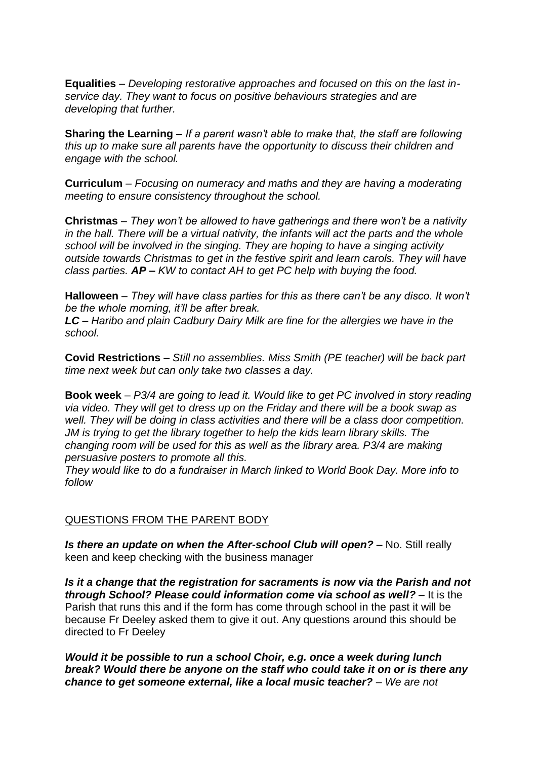**Equalities** *– Developing restorative approaches and focused on this on the last inservice day. They want to focus on positive behaviours strategies and are developing that further.*

**Sharing the Learning** *– If a parent wasn't able to make that, the staff are following this up to make sure all parents have the opportunity to discuss their children and engage with the school.*

**Curriculum** *– Focusing on numeracy and maths and they are having a moderating meeting to ensure consistency throughout the school.* 

**Christmas** *– They won't be allowed to have gatherings and there won't be a nativity in the hall. There will be a virtual nativity, the infants will act the parts and the whole school will be involved in the singing. They are hoping to have a singing activity outside towards Christmas to get in the festive spirit and learn carols. They will have class parties. AP – KW to contact AH to get PC help with buying the food.*

**Halloween** *– They will have class parties for this as there can't be any disco. It won't be the whole morning, it'll be after break.* 

*LC – Haribo and plain Cadbury Dairy Milk are fine for the allergies we have in the school.*

**Covid Restrictions** *– Still no assemblies. Miss Smith (PE teacher) will be back part time next week but can only take two classes a day.*

**Book week** *– P3/4 are going to lead it. Would like to get PC involved in story reading via video. They will get to dress up on the Friday and there will be a book swap as well. They will be doing in class activities and there will be a class door competition. JM is trying to get the library together to help the kids learn library skills. The changing room will be used for this as well as the library area. P3/4 are making persuasive posters to promote all this.*

*They would like to do a fundraiser in March linked to World Book Day. More info to follow*

#### QUESTIONS FROM THE PARENT BODY

*Is there an update on when the After-school Club will open?* – No. Still really keen and keep checking with the business manager

*Is it a change that the registration for sacraments is now via the Parish and not through School? Please could information come via school as well?* – It is the Parish that runs this and if the form has come through school in the past it will be because Fr Deeley asked them to give it out. Any questions around this should be directed to Fr Deeley

*Would it be possible to run a school Choir, e.g. once a week during lunch break? Would there be anyone on the staff who could take it on or is there any chance to get someone external, like a local music teacher? – We are not*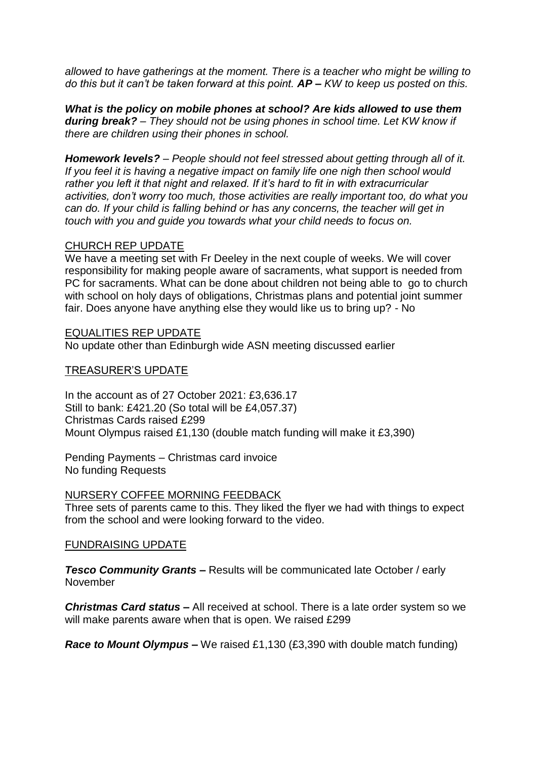*allowed to have gatherings at the moment. There is a teacher who might be willing to do this but it can't be taken forward at this point. AP – KW to keep us posted on this.*

*What is the policy on mobile phones at school? Are kids allowed to use them during break? – They should not be using phones in school time. Let KW know if there are children using their phones in school.*

*Homework levels? – People should not feel stressed about getting through all of it. If you feel it is having a negative impact on family life one nigh then school would rather you left it that night and relaxed. If it's hard to fit in with extracurricular activities, don't worry too much, those activities are really important too, do what you can do. If your child is falling behind or has any concerns, the teacher will get in touch with you and guide you towards what your child needs to focus on.*

#### CHURCH REP UPDATE

We have a meeting set with Fr Deeley in the next couple of weeks. We will cover responsibility for making people aware of sacraments, what support is needed from PC for sacraments. What can be done about children not being able to go to church with school on holy days of obligations, Christmas plans and potential joint summer fair. Does anyone have anything else they would like us to bring up? - No

#### EQUALITIES REP UPDATE No update other than Edinburgh wide ASN meeting discussed earlier

#### TREASURER'S UPDATE

In the account as of 27 October 2021: £3,636.17 Still to bank: £421.20 (So total will be £4,057.37) Christmas Cards raised £299 Mount Olympus raised £1,130 (double match funding will make it £3,390)

Pending Payments – Christmas card invoice No funding Requests

#### NURSERY COFFEE MORNING FEEDBACK

Three sets of parents came to this. They liked the flyer we had with things to expect from the school and were looking forward to the video.

#### FUNDRAISING UPDATE

*Tesco Community Grants –* Results will be communicated late October / early November

**Christmas Card status** – All received at school. There is a late order system so we will make parents aware when that is open. We raised £299

*Race to Mount Olympus –* We raised £1,130 (£3,390 with double match funding)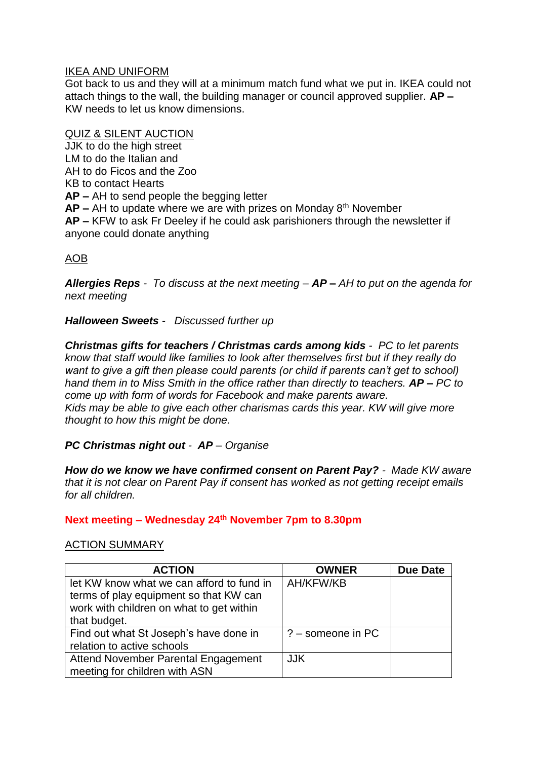## IKEA AND UNIFORM

Got back to us and they will at a minimum match fund what we put in. IKEA could not attach things to the wall, the building manager or council approved supplier. **AP –** KW needs to let us know dimensions.

## QUIZ & SILENT AUCTION

JJK to do the high street LM to do the Italian and AH to do Ficos and the Zoo KB to contact Hearts **AP –** AH to send people the begging letter **AP –** AH to update where we are with prizes on Monday 8th November **AP –** KFW to ask Fr Deeley if he could ask parishioners through the newsletter if anyone could donate anything

# AOB

*Allergies Reps - To discuss at the next meeting – AP – AH to put on the agenda for next meeting*

*Halloween Sweets - Discussed further up*

*Christmas gifts for teachers / Christmas cards among kids - PC to let parents know that staff would like families to look after themselves first but if they really do want to give a gift then please could parents (or child if parents can't get to school) hand them in to Miss Smith in the office rather than directly to teachers. AP – PC to come up with form of words for Facebook and make parents aware. Kids may be able to give each other charismas cards this year. KW will give more thought to how this might be done.* 

# *PC Christmas night out - AP – Organise*

*How do we know we have confirmed consent on Parent Pay? - Made KW aware that it is not clear on Parent Pay if consent has worked as not getting receipt emails for all children.*

#### **Next meeting – Wednesday 24 th November 7pm to 8.30pm**

#### ACTION SUMMARY

| <b>ACTION</b>                             | <b>OWNER</b>        | <b>Due Date</b> |
|-------------------------------------------|---------------------|-----------------|
| let KW know what we can afford to fund in | AH/KFW/KB           |                 |
| terms of play equipment so that KW can    |                     |                 |
| work with children on what to get within  |                     |                 |
| that budget.                              |                     |                 |
| Find out what St Joseph's have done in    | $? -$ someone in PC |                 |
| relation to active schools                |                     |                 |
| Attend November Parental Engagement       | <b>JJK</b>          |                 |
| meeting for children with ASN             |                     |                 |